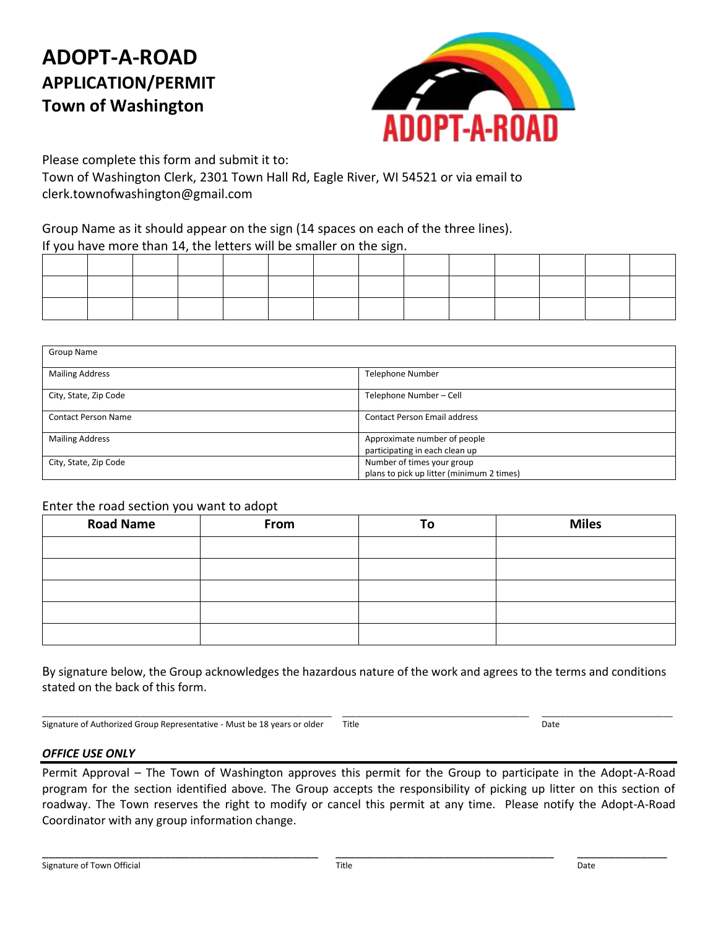# **ADOPT-A-ROAD APPLICATION/PERMIT Town of Washington**



Please complete this form and submit it to: Town of Washington Clerk, 2301 Town Hall Rd, Eagle River, WI 54521 or via email to clerk.townofwashington@gmail.com

### Group Name as it should appear on the sign (14 spaces on each of the three lines). If you have more than 14, the letters will be smaller on the sign.

| Group Name                 |                                                                         |
|----------------------------|-------------------------------------------------------------------------|
| <b>Mailing Address</b>     | <b>Telephone Number</b>                                                 |
| City, State, Zip Code      | Telephone Number-Cell                                                   |
| <b>Contact Person Name</b> | <b>Contact Person Email address</b>                                     |
| <b>Mailing Address</b>     | Approximate number of people<br>participating in each clean up          |
| City, State, Zip Code      | Number of times your group<br>plans to pick up litter (minimum 2 times) |

#### Enter the road section you want to adopt

| <b>Road Name</b> | From | To | <b>Miles</b> |
|------------------|------|----|--------------|
|                  |      |    |              |
|                  |      |    |              |
|                  |      |    |              |
|                  |      |    |              |
|                  |      |    |              |

By signature below, the Group acknowledges the hazardous nature of the work and agrees to the terms and conditions stated on the back of this form.

Signature of Authorized Group Representative - Must be 18 years or older Title Changes and Date

\_\_\_\_\_\_\_\_\_\_\_\_\_\_\_\_\_\_\_\_\_\_\_\_\_\_\_\_\_\_\_\_\_\_\_\_\_\_\_\_\_\_\_\_\_\_\_\_\_\_\_\_\_\_\_\_\_\_\_\_\_\_ \_\_\_\_\_\_\_\_\_\_\_\_\_\_\_\_\_\_\_\_\_\_\_\_\_\_\_\_\_\_\_\_\_\_\_\_\_\_\_\_ \_\_\_\_\_\_\_\_\_\_\_\_\_\_\_\_\_\_\_\_\_\_\_\_\_\_\_\_

#### *OFFICE USE ONLY*

Permit Approval – The Town of Washington approves this permit for the Group to participate in the Adopt-A-Road program for the section identified above. The Group accepts the responsibility of picking up litter on this section of roadway. The Town reserves the right to modify or cancel this permit at any time. Please notify the Adopt-A-Road Coordinator with any group information change.